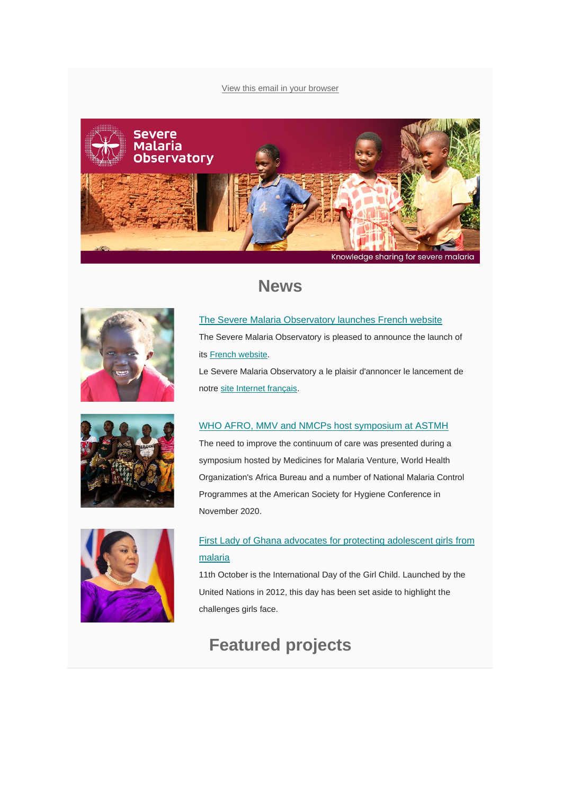#### [View this email in your browser](https://mailchi.mp/fe6071aeb959/severe-malaria-observatory-december-2020-newsletter?e=%5bUNIQID%5d)







## **News**

[The Severe Malaria Observatory launches French website](https://www.severemalaria.org/news/severe-malaria-observatory-launches-french-website) The Severe Malaria Observatory is pleased to announce the launch of its [French website.](http://www.severemalaria.org/fr)

Le Severe Malaria Observatory a le plaisir d'annoncer le lancement de notre [site Internet français.](http://www.severemalaria.org/fr)

#### [WHO AFRO, MMV and NMCPs host symposium at ASTMH](https://www.severemalaria.org/astmh-symposium-severe-malaria-improving-the-continuum-of-care)

The need to improve the continuum of care was presented during a symposium hosted by Medicines for Malaria Venture, World Health Organization's Africa Bureau and a number of National Malaria Control Programmes at the American Society for Hygiene Conference in November 2020.



#### [First Lady of Ghana advocates for protecting adolescent girls](https://www.severemalaria.org/news/international-day-of-the-girl-child-get-up-speak-out-and-save-adolescent-girls-from-malaria) [from](https://www.severemalaria.org/news/international-day-of-the-girl-child-get-up-speak-out-and-save-adolescent-girls-from-malaria)  [malaria](https://www.severemalaria.org/news/international-day-of-the-girl-child-get-up-speak-out-and-save-adolescent-girls-from-malaria)

11th October is the International Day of the Girl Child. Launched by the United Nations in 2012, this day has been set aside to highlight the challenges girls face.

# **Featured projects**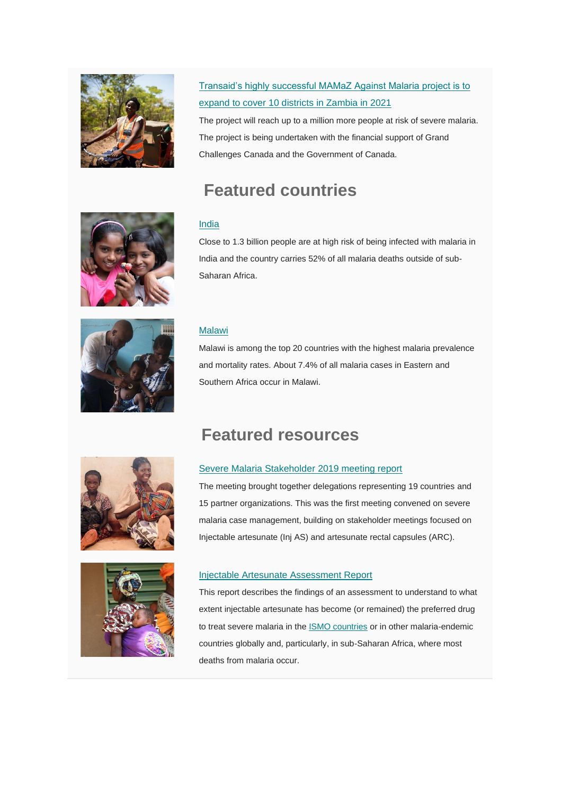

## [Transaid's highly successful MAMaZ Against Malaria project is to](https://www.severemalaria.org/news/transaid%E2%80%99s-highly-successful-mamaz-against-malaria-project-is-to-expand-to-cover-10-districts)  expand [to cover 10 districts in](https://www.severemalaria.org/news/transaid%E2%80%99s-highly-successful-mamaz-against-malaria-project-is-to-expand-to-cover-10-districts) Zambia in 2021

The project will reach up to a million more people at risk of severe malaria. The project is being undertaken with the financial support of Grand Challenges Canada and the Government of Canada.

# **Featured countries**

#### [India](https://www.severemalaria.org/countries/india-0)

Close to 1.3 billion people are at high risk of being infected with malaria in India and the country carries 52% of all malaria deaths outside of sub-Saharan Africa.



#### [Malawi](https://www.severemalaria.org/countries/malawi)

Malawi is among the top 20 countries with the highest malaria prevalence and mortality rates. About 7.4% of all malaria cases in Eastern and Southern Africa occur in Malawi.



**Featured resources**

#### [Severe Malaria Stakeholder 2019 meeting report](https://www.severemalaria.org/resources/severe-malaria-stakeholder-meeting-21-22-october-2019-abuja)

The meeting brought together delegations representing 19 countries and 15 partner organizations. This was the first meeting convened on severe malaria case management, building on stakeholder meetings focused on Injectable artesunate (Inj AS) and artesunate rectal capsules (ARC).



#### [Injectable Artesunate Assessment Report](https://www.severemalaria.org/resources/injectable-artesunate-assessment-report)

This report describes the findings of an assessment to understand to what extent injectable artesunate has become (or remained) the preferred drug to treat severe malaria in the [ISMO countries](https://www.severemalaria.org/in-the-field/projects/ismo) or in other malaria-endemic countries globally and, particularly, in sub-Saharan Africa, where most deaths from malaria occur.